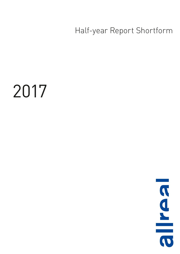Half-year Report Shortform

# 2017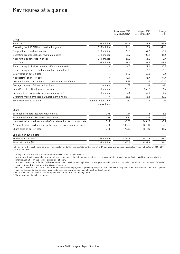### Key figures at a glance

|                                                                       |                                    | 1st half-year 2017<br>as at 30.06.2017* | 1st half-year 2016<br>as at 31.12.2016* | Change<br>in $\%$ <sup>1</sup> |
|-----------------------------------------------------------------------|------------------------------------|-----------------------------------------|-----------------------------------------|--------------------------------|
| Group                                                                 |                                    |                                         |                                         |                                |
| Total sales <sup>2</sup>                                              | CHF million                        | 293.6                                   | 348.9                                   | $-15.8$                        |
| Operating profit (EBIT) incl. revaluation gains                       | CHF million                        | 94.4                                    | 110.4                                   | $-14.4$                        |
| Net profit incl. revaluation effect                                   | CHF million                        | 66.0                                    | 69.8                                    | $-5.4$                         |
| Operating profit (EBIT) excl. revaluation gains                       | CHF million                        | 85.7                                    | 100.1                                   | $-14.4$                        |
| Net profit excl. revaluation effect                                   | CHF million                        | 59.3                                    | 61.4                                    | $-3.4$                         |
| Cash flow                                                             | CHF million                        | 96.4                                    | 181.4                                   | $-46.9$                        |
| Return on equity incl. revaluation effect (annualised)                | $\frac{0}{0}$                      | 6.3                                     | 7.1                                     | $-0.8$                         |
| Return on equity excl. revaluation effect (annualised)                | $\frac{0}{0}$                      | 6.3                                     | 6.6                                     | $-0.3$                         |
| Equity ratio on cut-off date                                          | $\frac{0}{0}$                      | 51.9                                    | 52.3                                    | $-0.4$                         |
| Net gearing <sup>3</sup> on cut-off date                              | $\frac{0}{0}$                      | 77.1                                    | 75.7                                    | $+1.4$                         |
| Average interest rate on financial liabilities on cut-off date        | $\frac{0}{n}$                      | 1.69                                    | 1.67                                    | $+0.02$                        |
| Average duration of financial liabilities                             | months                             | 52                                      | 36                                      | $+16$                          |
| Sales Projects & Development division                                 | CHF million                        | 203.8                                   | 260.2                                   | $-21.7$                        |
| Earnings from Projects & Development division <sup>4</sup>            | CHF million                        | 37.4                                    | 49.8                                    | $-24.9$                        |
| Operating margin Projects & Development division <sup>5</sup>         | $\frac{0}{n}$                      | 38.8                                    | 48.8                                    | $-10.0$                        |
| Employees on cut-off date                                             | number of full-time<br>equivalents | 261                                     | 276                                     | $-15$                          |
| Share                                                                 |                                    |                                         |                                         |                                |
| Earnings per share incl. revaluation effect                           | CHF                                | 4.14                                    | 4.38                                    | $-5.5$                         |
| Earnings per share excl. revaluation effect                           | CHF                                | 3.72                                    | 3.85                                    | $-3.4$                         |
| Net asset value (NAV) per share before deferred taxes on cut-off date | CHF                                | 140.55                                  | 140.90                                  | $-0.2$                         |
| Net asset value (NAV) per share after deferred taxes on cut-off date  | CHF                                | 130.20                                  | 131.00                                  | $-0.5$                         |
| Share price on cut-off date                                           | CHF                                | 173.50                                  | 151.30                                  | $+14.7$                        |
| Valuation on cut-off date                                             |                                    |                                         |                                         |                                |
| Market capitalisation <sup>6</sup>                                    | CHF million                        | 2763.8                                  | 2410.3                                  | $+14.7$                        |
| Enterprise value $[EV]^7$                                             | CHF million                        | 4363.8                                  | 3989.6                                  | $+9.4$                         |

\* Should no further particulars be given, values referring to the income statement concern the 1<sup>st</sup> half-year and balance sheet value the cut-off dates on 30.06.2017 as at 31.12.2016

1 Changes in quantum and percentage values shown as absolute difference

2 Income resulting from rental of investment real estate and real estate management services plus completed project volume Projects & Development division 3 Financial liabilities minus cash as percentage of equity

4 Income from realisation Projects & Development, sales development, capitalised company-produced assets and diverse income minus direct expenses for realisation Projects & Development and sales development

5 EBIT excl. revaluation and restoration of value adjustments on projects as percentage of profit from business activity (balance of operating income, direct operating expenses, capitalised company-produced assets and earnings from sale of investment real estate)

6 Stock price at balance sheet date multiplied by the number of outstanding shares

7 Market capitalisation plus net debts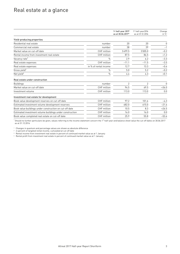### Real estate at a glance

|                                                          |                       | 1st half-year 2017<br>as at 30.06.2017* | 1st half-year2016<br>as at 31.12.2016 | Change<br>in $\%$ <sup>1</sup> |
|----------------------------------------------------------|-----------------------|-----------------------------------------|---------------------------------------|--------------------------------|
| Yield-producing properties                               |                       |                                         |                                       |                                |
| Residential real estate                                  | number                | 20                                      | 20                                    | $\mathbf 0$                    |
| Commercial real estate                                   | number                | 38                                      | 39                                    | $-1$                           |
| Market value on cut-off date                             | CHF million           | 3499.5                                  | 3505.0                                | $-0.2$                         |
| Rental income from investment real estate                | CHF million           | 87.5                                    | 86.5                                  | $+1.2$                         |
| Vacancy rate <sup>2</sup>                                | $\frac{0}{0}$         | 2.9                                     | 6.2                                   | $-3.3$                         |
| Real estate expenses                                     | CHF million           | $-11.1$                                 | $-11.5$                               | $-3.5$                         |
| Real estate expenses                                     | in % of rental income | 12.7                                    | 13.3                                  | $-0.6$                         |
| Gross yield $3$                                          | $\frac{0}{0}$         | 5.0                                     | 5.2                                   | $-0.2$                         |
| Net yield <sup>4</sup>                                   | $\frac{0}{0}$         | 4.4                                     | 4.3                                   | $+0.1$                         |
| Real estate under construction                           |                       |                                         |                                       |                                |
| <b>Buildings</b>                                         | number                | $\overline{2}$                          | $\overline{2}$                        | $\mathbf{0}$                   |
| Market value on cut-off date                             | CHF million           | 94.5                                    | 69.5                                  | $+36.0$                        |
| Investment volume                                        | CHF million           | 113.0                                   | 113.0                                 | 0.0                            |
| Investment real estate for development                   |                       |                                         |                                       |                                |
| Book value development reserves on cut-off date          | CHF million           | 97.2                                    | 101.6                                 | $-4.3$                         |
| Estimated investment volume development reserves         | CHF million           | 482.0                                   | 615.0                                 | $-21.6$                        |
| Book value buildings under construction on cut-off date  | CHF million           | 10.5                                    | 8.3                                   | $+26.5$                        |
| Estimated investment volume buildings under construction | CHF million           | 16.0                                    | 16.0                                  | 0.0                            |
| Book value completed real estate on cut-off date         | CHF million           | 25.9                                    | 55.8                                  | $-53.6$                        |

\* Should no further particulars be given, values referring to the income statement concern the 1<sup>st</sup> half-year and balance sheet value the cut-off dates on 30.06.2017 as at 31.12.2016

1 Changes in quantum and percentage values are shown as absolute difference

<sup>2</sup> in percent of targeted rental income, cumulated at cut-off date

3 Rental income from investment real estate in percent of continued market value as at 1 January

4 Rental profit from investment real estate in percent of continued market value as at 1 January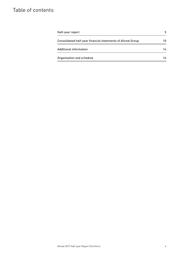# Table of contents

| Half-year report                                             | 5  |
|--------------------------------------------------------------|----|
| Consolidated half-year financial statements of Allreal Group | 10 |
| <b>Additional information</b>                                | 14 |
| Organisation and schedule                                    | 16 |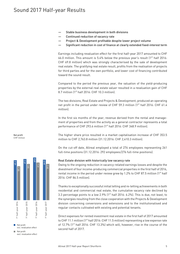- Stable business development in both divisions
- Continued reduction of vacancy rate
- Project & Development profitable despite lower project volume
- Significant reduction in cost of finance at clearly extended fixed-interest term

Earnings including revaluation effect for the first half-year 2017 amounted to CHF 66.0 million. This amount is  $5.4\%$  below the previous year's result  $[1<sup>st</sup>$  half 2016: CHF 69.8 million) which was strongly characterised by the sale of development real estate. The gratifying real estate result, profits from the realisation of projects for third parties and for the own portfolio, and lower cost of financing contributed toward the sound result.

Compared to the period the previous year, the valuation of the yield-producing properties by the external real estate valuer resulted in a revaluation gain of CHF 8.7 million  $1^{st}$  half 2016: CHF 10.3 million].

The two divisions, Real Estate and Projects & Development, produced an operating net profit in the period under review of CHF 59.3 million  $[1<sup>st</sup>$  half 2016: CHF 61.4 million).

In the first six months of the year, revenue derived from the rental and management of properties and from the activity as a general contractor represents a total performance of CHF 293.6 million (1<sup>st</sup> half 2016: CHF 348.9 million).

The higher share price resulted in a market capitalisation increase of CHF 353.5 million to CHF 2,763.8 million (31.12.2016: CHF 2,410.3 million).

On the cut-off date, Allreal employed a total of 276 employees representing 261 full-time positions (31.12.2016: 292 employees/276 full-time positions).

### Real Estate division with historically low vacancy rate

Owing to the ongoing reduction in vacancy-related earnings losses and despite the divestment of four income-producing commercial properties in the first half of 2016, rental income in the period under review grew by 1.2% to CHF 87.5 million  $1^{st}$  half 2016: CHF 86.5 million).

Thanks to exceptionally successful initial letting and re-letting achievements in both residential and commercial real estate, the cumulative vacancy rate declined by 3.3 percentage points to a low 2.9%  $1<sup>st</sup>$  half 2016: 6.2%). This is due, not least, to the synergies resulting from the close cooperation with the Projects & Development division concerning conversions and extensions and to the institutionalised and regular contacts cultivated with existing and potential tenants.

Direct expenses for rented investment real estate in the first half of 2017 amounted to CHF 11.1 million  $11^{st}$  half 2016: CHF 11.5 million) representing a low expense rate of 12.7%  $1<sup>st</sup>$  half 2016: CHF 13.3%) which will, however, rise in the course of the second half of 2017.

Net profit CHF million



Net profit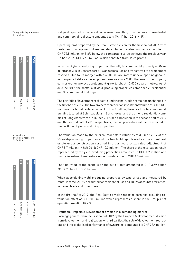Yield-producing properties CHF million



Income from investment real estate CHF million



Net yield reported in the period under review resulting from the rental of residential and commercial real estate amounted to 4.4% (1<sup>st</sup> half 2016: 4.3%).

Operating profit reported by the Real Estate division for the first half of 2017 from rental and management of real estate excluding revaluation gains amounted to CHF 72.5 million, or 5.8% below the comparable value achieved the previous year (1<sup>st</sup> half 2016: CHF 77.0 million) which benefited from sales profits.

In terms of yield-producing properties, the fully let commercial property on Grindelstrasse 3–5 in Bassersdorf ZH was reclassified and transferred to development reserves. Due to its merger with a 6,000 square-metre undeveloped neighbouring property held as a development reserve since 2008, the size of the property earmarked for project development grew to about 12,000 square metres. As at 30 June 2017, the portfolio of yield-producing properties comprised 20 residential and 38 commercial buildings.

The portfolio of investment real estate under construction remained unchanged in the first half of 2017. The two projects represent an investment volume of CHF 113.0 million and a target rental income of CHF 6.7 million, the one a fully let commercial building located at Schiffbauplatz in Zurich-West and the other a residential complex at Fangletenstrasse in Bülach ZH. Upon completion in the second half of 2017 and the second half of 2018 respectively, the two properties will be transferred to the portfolio of yield-producing properties.

The valuation made by the external real estate valuer as at 30 June 2017 of the 58 yield-producing properties and the two buildings classed as investment real estate under construction resulted in a positive pre-tax value adjustment of CHF 8.7 million (1<sup>st</sup> half 2016: CHF 10.3 million). The share of the revaluation result represented by the yield-producing properties amounted to CHF 4.7 million and that by investment real estate under construction to CHF 4.0 million.

The total value of the portfolio on the cut-off date amounted to CHF 3.59 billion (31.12.2016: CHF 3.57 billion).

When apportioning yield-producing properties by type of use and measured by rental income, 21.7% accounted for residential use and 78.3% accounted for office, services, trade and other uses.

In the first half of 2017, the Real Estate division reported earnings excluding revaluation effect of CHF 50.2 million which represents a share in the Group's net operating result of 82.4%.

### Profitable Projects & Development division in a demanding market

Earnings generated in the first half of 2017 by the Projects & Development division from development and realisation for third parties, the sale of development real estate and the capitalised performance of own projects amounted to CHF 37.4 million.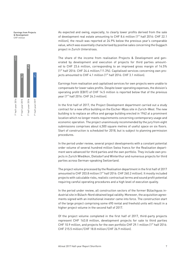Earnings from Projects & Development CHF million



As expected and owing, especially, to clearly lower profits derived from the sale of development real estate amounting to CHF 8.6 million (1<sup>st</sup> half 2016: CHF 22.1 million), the result was reported at 24.9% below the previous year's comparable value, which was essentially characterised by positive sales concerning the Guggach project in Zurich Unterstrass.

The share of the income from realisation Projects & Development and generated by development and execution of projects for third parties amounted to CHF 23.6 million, corresponding to an improved gross margin of 14.5% (1st half 2016: CHF 24.4 million /11.3%). Capitalised services concerning own projects amounted to CHF 4.1 million (1<sup>st</sup> half 2016: CHF 3.1 million).

Earnings from realisation and capitalised services for own projects were unable to compensate for lower sales profits. Despite lower operating expenses, the division's operating profit (EBIT) of CHF 14.5 million is reported below that of the previous year (1<sup>st</sup> half 2016: CHF 24.3 million).

In the first half of 2017, the Project Development department carried out a study contract for a new office building on the Escher-Wyss site in Zurich-West. The new building is to replace an office and garage building erected in 1962 at a prominent location which no longer meets requirements concerning contemporary usage and economic operation. The project unanimously recommended by the jury from eight submissions comprises about 6,500 square metres of useful space on six floors. Start of construction is scheduled for 2018, but is subject to planning permission procedures.

In the period under review, several project developments with a constant potential order volume of several hundred million Swiss francs for the Realisation department were advanced for third parties and the own portfolio. They include own projects in Zurich Wiedikon, Dielsdorf and Winterthur and numerous projects for third parties across German-speaking Switzerland.

The project volume processed by the Realisation department in the first half of 2017 amounted to CHF 203.8 million (1<sup>st</sup> half 2016: CHF 260.2 million). It mostly included projects with calculable risks, realistic contractual terms and sound profit potential requiring careful operating procedures and a high level of execution quality.

In the period under review, all construction sectors of the former Bülachguss industrial site in Bülach-Nord obtained legal validity. Moreover, the acquisition agreements signed with an institutional investor came into force. The construction start of the large project comprising some 490 rental and freehold units will result in a higher project volume in the second half of 2017.

Of the project volume completed in the first half of 2017, third-party projects represent CHF 163.8 million, development projects for sale to third parties CHF 10.9 million, and projects for the own portfolio CHF 29.1 million (1<sup>st</sup> half 2016: CHF 215.5 million/CHF 18.8 million/CHF 26.9 million).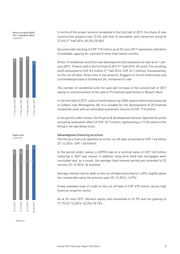Return on equity (RoE) incl. revaluation effect in percent







In terms of the project volume completed in the first half of 2017, the share of new construction projects was 72.4% and that of renovation and conversion projects 27.6% (1st half 2016: 69.2%/30.8%).

Secured order backlog of CHF 710 million as at 30 June 2017 represents utilisation of available capacity for a period of more than twelve months.

Of the 13 residential units from own development and realisation for sale as at 1 January 2017, 10 were sold in the first half of 2017 (1<sup>st</sup> half 2016: 49 units). The resulting profit amounted to CHF 8.6 million (1<sup>st</sup> half 2016: CHF 22.1 million). Consequently, on the cut-off date, three units in two projects, Guggach in Zurich Unterstrass and Lerchenbergstrasse in Erlenbach ZH, remained for sale.

The number of residential units for sale will increase in the second half of 2017 owing to commencement of the sale of 73 freehold apartments in Bülach-Nord.

In the first half of 2017, a plot of land measuring 3,806 square metres was acquired in Zufikon near Bremgarten AG. It is suitable for the development of 20 freehold residential units with an estimated investment volume of CHF 17.0 million.

In the period under review, the Projects & Development division reported net profit excluding revaluation effect of CHF 10.7 million, representing a 17.6% share in the Group's net operating result.

### Advantageous financing structure

The Group's financial liabilities as at the cut-off date amounted to CHF 1.64 billion (31.12.2016: CHF 1.60 billion).

In the period under review, a 0.875% loan at a nominal value of CHF 160 million maturing in 2027 was issued. In addition, long-term fixed-rate mortgages were concluded and, as a result, the average fixed-interest period was extended to 52 months (31.12.2016: 36 months).

Average interest rate for debt on the cut-off date amounted to 1.69%, slightly above the comparable value the previous year (31.12.2016: 1.67%).

Freely available lines of credit on the cut-off date of CHF 675 million secure high financial scope for action.

As at 30 June 2017, Allreal's equity ratio amounted to 51.9% and net gearing to 77.1% (31.12.2016: 52.3%/75.7%).

Minimum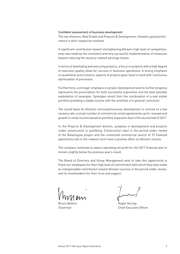#### Confident assessment of business development

The two divisions, Real Estate and Projects & Development, showed a good performance in their respective markets.

A significant contribution toward strengthening Allreal's high level of competitiveness was made by the consistent and very successful implementation of measures toward reducing the vacancy-related earnings losses.

In terms of developing and executing projects, a focus on projects with a high degree of execution quality allow for success in business operations. A strong emphasis on qualitative and economic aspects of projects goes hand in hand with continuous optimisation of processes.

Furthermore, a stronger emphasis on project development and its further progress represents the precondition for both successful acquisition and the best possible exploitation of synergies. Synergies result from the combination of a real estate portfolio providing a stable income with the activities of a general contractor.

The sound basis for Allreal's continued business development is centred on a low vacancy rate, a small number of commercial rental agreements up for renewal and growth in rental income based on portfolio expansion due in the second half of 2017.

In the Projects & Development division, progress in development and projects under construction is gratifying. Construction start in the period under review of the Bülachguss project and the connected commercial launch of 73 freehold apartments will in the medium term have a positive effect on Allreal's results.

The company continues to expect operating net profit for the 2017 financial year to remain slightly below the previous year's result.

The Board of Directors and Group Management wish to take this opportunity to thank our employees for their high level of commitment with which they have made an indispensable contribution toward Allreal's success in the period under review, and its shareholders for their trust and support.

Bruno Bettoni Chairman

Roger Herzog Chief Executive Officer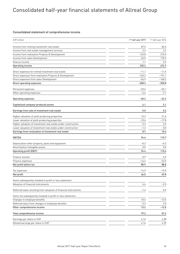# Consolidated half-year financial statements of Allreal Group

### Consolidated statement of comprehensive income

| 87.5<br>Income from renting investment real estate<br>2.3<br>Income from real estate management services<br>Income from realisation Projects & Development<br>163.8<br>Income from sales Development<br>65.5<br>Diverse income<br>1.1<br>320.2<br>Operating income<br>Direct expenses for rented investment real estate<br>$-11.1$<br>Direct expenses from realisation Projects & Development<br>$-140.2$<br>$-56.9$<br>Direct expenses from sales Development<br>$-208.2$<br>Direct operating expenses<br>$-23.6$<br>Personnel expenses<br>Other operating expenses<br>$-6.6$<br>$-30.2$<br>$-32.2$<br><b>Operating expenses</b><br>4.1<br>Capitalised company-produced assets<br>3.1<br>0.0<br>5.6<br>Earnings from sale of investment real estate<br>15.3<br>Higher valuation of yield-producing properties<br>Lower valuation of yield-producing properties<br>$-10.6$<br>5.3<br>Higher valuation of investment real estate under construction<br>Lower valuation of investment real estate under construction<br>$-1.3$<br>8.7<br>Earnings from revaluation of investment real estate<br>94.6<br><b>EBITDA</b><br>Depreciation other property, plant and equipment<br>$-0.2$<br>Amortisation intangible assets<br>0.0<br>94.4<br><b>Operating profit (EBIT)</b><br>Finance income<br>0.9<br>$-14.4$<br>Finance expenses<br>80.9<br>Net profit before tax<br>$-14.9$<br>Tax expenses<br>Net profit<br>66.0<br>Items subsequently restated in profit or loss statement:<br>Valuation of financial instruments<br>6.6<br>Deferred taxes resulting from valuation of financial instruments<br>$-1.4$<br>Items not subsequently restated in profit or loss statement:<br>Changes in employee benefits<br>10.3<br>$-2.3$<br>Deferred taxes from changes in employee benefits<br>13.2<br>Other comprehensive income<br>79.2<br>Total comprehensive income<br>Earnings per share in CHF<br>4.14<br>Diluted earnings per share in CHF<br>4.14 | CHF million | 1 <sup>st</sup> half-year 2017 | 1 <sup>st</sup> half-year 2016 |
|-------------------------------------------------------------------------------------------------------------------------------------------------------------------------------------------------------------------------------------------------------------------------------------------------------------------------------------------------------------------------------------------------------------------------------------------------------------------------------------------------------------------------------------------------------------------------------------------------------------------------------------------------------------------------------------------------------------------------------------------------------------------------------------------------------------------------------------------------------------------------------------------------------------------------------------------------------------------------------------------------------------------------------------------------------------------------------------------------------------------------------------------------------------------------------------------------------------------------------------------------------------------------------------------------------------------------------------------------------------------------------------------------------------------------------------------------------------------------------------------------------------------------------------------------------------------------------------------------------------------------------------------------------------------------------------------------------------------------------------------------------------------------------------------------------------------------------------------------------------------------------------------------------------------------------------------|-------------|--------------------------------|--------------------------------|
|                                                                                                                                                                                                                                                                                                                                                                                                                                                                                                                                                                                                                                                                                                                                                                                                                                                                                                                                                                                                                                                                                                                                                                                                                                                                                                                                                                                                                                                                                                                                                                                                                                                                                                                                                                                                                                                                                                                                           |             |                                | 86.5                           |
|                                                                                                                                                                                                                                                                                                                                                                                                                                                                                                                                                                                                                                                                                                                                                                                                                                                                                                                                                                                                                                                                                                                                                                                                                                                                                                                                                                                                                                                                                                                                                                                                                                                                                                                                                                                                                                                                                                                                           |             |                                | 2.2                            |
|                                                                                                                                                                                                                                                                                                                                                                                                                                                                                                                                                                                                                                                                                                                                                                                                                                                                                                                                                                                                                                                                                                                                                                                                                                                                                                                                                                                                                                                                                                                                                                                                                                                                                                                                                                                                                                                                                                                                           |             |                                | 215.5                          |
|                                                                                                                                                                                                                                                                                                                                                                                                                                                                                                                                                                                                                                                                                                                                                                                                                                                                                                                                                                                                                                                                                                                                                                                                                                                                                                                                                                                                                                                                                                                                                                                                                                                                                                                                                                                                                                                                                                                                           |             |                                | 170.3                          |
|                                                                                                                                                                                                                                                                                                                                                                                                                                                                                                                                                                                                                                                                                                                                                                                                                                                                                                                                                                                                                                                                                                                                                                                                                                                                                                                                                                                                                                                                                                                                                                                                                                                                                                                                                                                                                                                                                                                                           |             |                                | 0.2                            |
|                                                                                                                                                                                                                                                                                                                                                                                                                                                                                                                                                                                                                                                                                                                                                                                                                                                                                                                                                                                                                                                                                                                                                                                                                                                                                                                                                                                                                                                                                                                                                                                                                                                                                                                                                                                                                                                                                                                                           |             |                                | 474.7                          |
|                                                                                                                                                                                                                                                                                                                                                                                                                                                                                                                                                                                                                                                                                                                                                                                                                                                                                                                                                                                                                                                                                                                                                                                                                                                                                                                                                                                                                                                                                                                                                                                                                                                                                                                                                                                                                                                                                                                                           |             |                                | $-11.5$                        |
|                                                                                                                                                                                                                                                                                                                                                                                                                                                                                                                                                                                                                                                                                                                                                                                                                                                                                                                                                                                                                                                                                                                                                                                                                                                                                                                                                                                                                                                                                                                                                                                                                                                                                                                                                                                                                                                                                                                                           |             |                                | $-191.1$                       |
|                                                                                                                                                                                                                                                                                                                                                                                                                                                                                                                                                                                                                                                                                                                                                                                                                                                                                                                                                                                                                                                                                                                                                                                                                                                                                                                                                                                                                                                                                                                                                                                                                                                                                                                                                                                                                                                                                                                                           |             |                                | $-148.2$                       |
|                                                                                                                                                                                                                                                                                                                                                                                                                                                                                                                                                                                                                                                                                                                                                                                                                                                                                                                                                                                                                                                                                                                                                                                                                                                                                                                                                                                                                                                                                                                                                                                                                                                                                                                                                                                                                                                                                                                                           |             |                                | $-350.8$                       |
|                                                                                                                                                                                                                                                                                                                                                                                                                                                                                                                                                                                                                                                                                                                                                                                                                                                                                                                                                                                                                                                                                                                                                                                                                                                                                                                                                                                                                                                                                                                                                                                                                                                                                                                                                                                                                                                                                                                                           |             |                                | $-25.1$                        |
|                                                                                                                                                                                                                                                                                                                                                                                                                                                                                                                                                                                                                                                                                                                                                                                                                                                                                                                                                                                                                                                                                                                                                                                                                                                                                                                                                                                                                                                                                                                                                                                                                                                                                                                                                                                                                                                                                                                                           |             |                                | $-7.1$                         |
|                                                                                                                                                                                                                                                                                                                                                                                                                                                                                                                                                                                                                                                                                                                                                                                                                                                                                                                                                                                                                                                                                                                                                                                                                                                                                                                                                                                                                                                                                                                                                                                                                                                                                                                                                                                                                                                                                                                                           |             |                                |                                |
|                                                                                                                                                                                                                                                                                                                                                                                                                                                                                                                                                                                                                                                                                                                                                                                                                                                                                                                                                                                                                                                                                                                                                                                                                                                                                                                                                                                                                                                                                                                                                                                                                                                                                                                                                                                                                                                                                                                                           |             |                                |                                |
|                                                                                                                                                                                                                                                                                                                                                                                                                                                                                                                                                                                                                                                                                                                                                                                                                                                                                                                                                                                                                                                                                                                                                                                                                                                                                                                                                                                                                                                                                                                                                                                                                                                                                                                                                                                                                                                                                                                                           |             |                                |                                |
|                                                                                                                                                                                                                                                                                                                                                                                                                                                                                                                                                                                                                                                                                                                                                                                                                                                                                                                                                                                                                                                                                                                                                                                                                                                                                                                                                                                                                                                                                                                                                                                                                                                                                                                                                                                                                                                                                                                                           |             |                                |                                |
|                                                                                                                                                                                                                                                                                                                                                                                                                                                                                                                                                                                                                                                                                                                                                                                                                                                                                                                                                                                                                                                                                                                                                                                                                                                                                                                                                                                                                                                                                                                                                                                                                                                                                                                                                                                                                                                                                                                                           |             |                                | 21.6                           |
|                                                                                                                                                                                                                                                                                                                                                                                                                                                                                                                                                                                                                                                                                                                                                                                                                                                                                                                                                                                                                                                                                                                                                                                                                                                                                                                                                                                                                                                                                                                                                                                                                                                                                                                                                                                                                                                                                                                                           |             |                                | $-17.8$                        |
|                                                                                                                                                                                                                                                                                                                                                                                                                                                                                                                                                                                                                                                                                                                                                                                                                                                                                                                                                                                                                                                                                                                                                                                                                                                                                                                                                                                                                                                                                                                                                                                                                                                                                                                                                                                                                                                                                                                                           |             |                                | 6.5                            |
|                                                                                                                                                                                                                                                                                                                                                                                                                                                                                                                                                                                                                                                                                                                                                                                                                                                                                                                                                                                                                                                                                                                                                                                                                                                                                                                                                                                                                                                                                                                                                                                                                                                                                                                                                                                                                                                                                                                                           |             |                                | 0.0                            |
|                                                                                                                                                                                                                                                                                                                                                                                                                                                                                                                                                                                                                                                                                                                                                                                                                                                                                                                                                                                                                                                                                                                                                                                                                                                                                                                                                                                                                                                                                                                                                                                                                                                                                                                                                                                                                                                                                                                                           |             |                                | 10.3                           |
|                                                                                                                                                                                                                                                                                                                                                                                                                                                                                                                                                                                                                                                                                                                                                                                                                                                                                                                                                                                                                                                                                                                                                                                                                                                                                                                                                                                                                                                                                                                                                                                                                                                                                                                                                                                                                                                                                                                                           |             |                                | 110.7                          |
|                                                                                                                                                                                                                                                                                                                                                                                                                                                                                                                                                                                                                                                                                                                                                                                                                                                                                                                                                                                                                                                                                                                                                                                                                                                                                                                                                                                                                                                                                                                                                                                                                                                                                                                                                                                                                                                                                                                                           |             |                                | $-0.3$                         |
|                                                                                                                                                                                                                                                                                                                                                                                                                                                                                                                                                                                                                                                                                                                                                                                                                                                                                                                                                                                                                                                                                                                                                                                                                                                                                                                                                                                                                                                                                                                                                                                                                                                                                                                                                                                                                                                                                                                                           |             |                                | 0.0                            |
|                                                                                                                                                                                                                                                                                                                                                                                                                                                                                                                                                                                                                                                                                                                                                                                                                                                                                                                                                                                                                                                                                                                                                                                                                                                                                                                                                                                                                                                                                                                                                                                                                                                                                                                                                                                                                                                                                                                                           |             |                                | 110.4                          |
|                                                                                                                                                                                                                                                                                                                                                                                                                                                                                                                                                                                                                                                                                                                                                                                                                                                                                                                                                                                                                                                                                                                                                                                                                                                                                                                                                                                                                                                                                                                                                                                                                                                                                                                                                                                                                                                                                                                                           |             |                                | 0.9                            |
|                                                                                                                                                                                                                                                                                                                                                                                                                                                                                                                                                                                                                                                                                                                                                                                                                                                                                                                                                                                                                                                                                                                                                                                                                                                                                                                                                                                                                                                                                                                                                                                                                                                                                                                                                                                                                                                                                                                                           |             |                                | $-22.5$                        |
|                                                                                                                                                                                                                                                                                                                                                                                                                                                                                                                                                                                                                                                                                                                                                                                                                                                                                                                                                                                                                                                                                                                                                                                                                                                                                                                                                                                                                                                                                                                                                                                                                                                                                                                                                                                                                                                                                                                                           |             |                                | 88.8                           |
|                                                                                                                                                                                                                                                                                                                                                                                                                                                                                                                                                                                                                                                                                                                                                                                                                                                                                                                                                                                                                                                                                                                                                                                                                                                                                                                                                                                                                                                                                                                                                                                                                                                                                                                                                                                                                                                                                                                                           |             |                                | $-19.0$                        |
|                                                                                                                                                                                                                                                                                                                                                                                                                                                                                                                                                                                                                                                                                                                                                                                                                                                                                                                                                                                                                                                                                                                                                                                                                                                                                                                                                                                                                                                                                                                                                                                                                                                                                                                                                                                                                                                                                                                                           |             |                                | 69.8                           |
|                                                                                                                                                                                                                                                                                                                                                                                                                                                                                                                                                                                                                                                                                                                                                                                                                                                                                                                                                                                                                                                                                                                                                                                                                                                                                                                                                                                                                                                                                                                                                                                                                                                                                                                                                                                                                                                                                                                                           |             |                                |                                |
|                                                                                                                                                                                                                                                                                                                                                                                                                                                                                                                                                                                                                                                                                                                                                                                                                                                                                                                                                                                                                                                                                                                                                                                                                                                                                                                                                                                                                                                                                                                                                                                                                                                                                                                                                                                                                                                                                                                                           |             |                                | $-2.5$                         |
|                                                                                                                                                                                                                                                                                                                                                                                                                                                                                                                                                                                                                                                                                                                                                                                                                                                                                                                                                                                                                                                                                                                                                                                                                                                                                                                                                                                                                                                                                                                                                                                                                                                                                                                                                                                                                                                                                                                                           |             |                                | 0.5                            |
|                                                                                                                                                                                                                                                                                                                                                                                                                                                                                                                                                                                                                                                                                                                                                                                                                                                                                                                                                                                                                                                                                                                                                                                                                                                                                                                                                                                                                                                                                                                                                                                                                                                                                                                                                                                                                                                                                                                                           |             |                                |                                |
|                                                                                                                                                                                                                                                                                                                                                                                                                                                                                                                                                                                                                                                                                                                                                                                                                                                                                                                                                                                                                                                                                                                                                                                                                                                                                                                                                                                                                                                                                                                                                                                                                                                                                                                                                                                                                                                                                                                                           |             |                                | $-13.5$                        |
|                                                                                                                                                                                                                                                                                                                                                                                                                                                                                                                                                                                                                                                                                                                                                                                                                                                                                                                                                                                                                                                                                                                                                                                                                                                                                                                                                                                                                                                                                                                                                                                                                                                                                                                                                                                                                                                                                                                                           |             |                                | 3.0                            |
|                                                                                                                                                                                                                                                                                                                                                                                                                                                                                                                                                                                                                                                                                                                                                                                                                                                                                                                                                                                                                                                                                                                                                                                                                                                                                                                                                                                                                                                                                                                                                                                                                                                                                                                                                                                                                                                                                                                                           |             |                                | $-12.5$                        |
|                                                                                                                                                                                                                                                                                                                                                                                                                                                                                                                                                                                                                                                                                                                                                                                                                                                                                                                                                                                                                                                                                                                                                                                                                                                                                                                                                                                                                                                                                                                                                                                                                                                                                                                                                                                                                                                                                                                                           |             |                                | 57.3                           |
|                                                                                                                                                                                                                                                                                                                                                                                                                                                                                                                                                                                                                                                                                                                                                                                                                                                                                                                                                                                                                                                                                                                                                                                                                                                                                                                                                                                                                                                                                                                                                                                                                                                                                                                                                                                                                                                                                                                                           |             |                                | 4.38                           |
|                                                                                                                                                                                                                                                                                                                                                                                                                                                                                                                                                                                                                                                                                                                                                                                                                                                                                                                                                                                                                                                                                                                                                                                                                                                                                                                                                                                                                                                                                                                                                                                                                                                                                                                                                                                                                                                                                                                                           |             |                                | 4.39                           |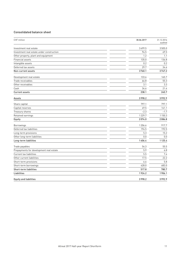### Consolidated balance sheet

| CHF million                               | 30.06.2017 | 31.12.2016<br>audited |
|-------------------------------------------|------------|-----------------------|
| Investment real estate                    | 3499.5     | 3505.0                |
| Investment real estate under construction | 94.5       | 69.5                  |
| Other property, plant and equipment       | 1.2        | 1.1                   |
| Financial assets                          | 135.0      | 136.8                 |
| Intangible assets                         | 0.2        | 0.2                   |
| Deferred tax assets                       | 29.7       | 34.6                  |
| Non-current assets                        | 3760.1     | 3747.2                |
| Development real estate                   | 133.6      | 165.7                 |
| Trade receivables                         | 66.8       | 55.3                  |
| Other receivables                         | 3.1        | 3.3                   |
| Cash                                      | 34.6       | 21.4                  |
| <b>Current assets</b>                     | 238.1      | 245.7                 |
| Assets                                    | 3998.2     | 3992.9                |
| Share capital                             | 797.1      | 797.1                 |
| Capital reserves                          | 49.5       | 141.1                 |
| Treasury shares                           | $-2.3$     | $-1.7$                |
| Retained earnings                         | 1229.7     | 1150.3                |
| Equity                                    | 2074.0     | 2086.8                |
| Borrowings                                | 1206.6     | 917.7                 |
| Deferred tax liabilities                  | 194.5      | 192.5                 |
| Long-term provisions                      | 5.3        | 15.2                  |
| Other long-term liabilities               | 0.0        | 0.0                   |
| Long-term liabilities                     | 1406.4     | 1125.4                |
| Trade payables                            | 54.3       | 55.5                  |
| Prepayments for development real estate   | 5.9        | 6.8                   |
| <b>Current tax liabilities</b>            | 5.5        | 7.4                   |
| Other current liabilities                 | 17.5       | 22.2                  |
| Short-term provisions                     | 6.6        | 5.8                   |
| Short-term borrowings                     | 428.0      | 683.0                 |
| Short-term liabilities                    | 517.8      | 780.7                 |
| <b>Liabilities</b>                        | 1924.2     | 1906.1                |
| <b>Equity and liabilities</b>             | 3998.2     | 3992.9                |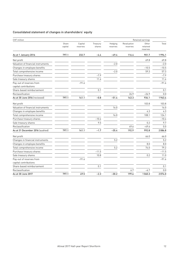### Consolidated statement of changes in shareholders' equity

| CHF million                        |                  |                     |                    |                     |                         | Retained earnings             |         |
|------------------------------------|------------------|---------------------|--------------------|---------------------|-------------------------|-------------------------------|---------|
|                                    | Share<br>capital | Capital<br>reserves | Treasury<br>shares | Hedging<br>reserves | Revaluation<br>reserves | Other<br>retained<br>reserves | Total   |
| As at 1 January 2016               | 797.1            | 232.7               | $-4.4$             | $-49.4$             | 116.4                   | 901.7                         | 1994.1  |
| Net profit                         |                  |                     |                    |                     |                         | 69.8                          | 69.8    |
| Valuation of financial instruments |                  |                     |                    | $-2.0$              |                         |                               | $-2.0$  |
| Changes in employee benefits       |                  |                     |                    |                     |                         | $-10.5$                       | $-10.5$ |
| Total comprehensive income         |                  |                     |                    | $-2.0$              |                         | 59.3                          | 57.3    |
| Purchase treasury shares           |                  |                     | $-7.9$             |                     |                         |                               | $-7.9$  |
| Sale treasury shares               |                  |                     | 11.4               |                     |                         |                               | 11.4    |
| Pay-out of reserves from           |                  | $-91.6$             |                    |                     |                         |                               | $-91.6$ |
| capital contributions              |                  |                     |                    |                     |                         |                               |         |
| Share-based reimbursement          |                  |                     | 0.1                |                     |                         |                               | 0.1     |
| Reclassification                   |                  |                     |                    |                     | 26.9                    | $-26.9$                       | 0.0     |
| As at 30 June 2016 (reviewed)      | 797.1            | 141.1               | $-0.8$             | $-51.4$             | 143.3                   | 934.1                         | 1963.4  |
| Net profit                         |                  |                     |                    |                     |                         | 103.8                         | 103.8   |
| Valuation of financial instruments |                  |                     |                    | 16.0                |                         |                               | 16.0    |
| Changes in employee benefits       |                  |                     |                    |                     |                         | 4.3                           | 4.3     |
| Total comprehensive income         |                  |                     |                    | 16.0                |                         | 108.1                         | 124.1   |
| Purchase treasury shares           |                  |                     | $-10.4$            |                     |                         |                               | $-10.4$ |
| Sale treasury shares               |                  |                     | 9.5                |                     |                         | 0.2                           | 9.7     |
| Reclassification                   |                  |                     |                    |                     | 49.6                    | $-49.6$                       | 0.0     |
| As at 31 December 2016 (audited)   | 797.1            | 141.1               | $-1.7$             | $-35.4$             | 192.9                   | 992.8                         | 2086.8  |
| Net profit                         |                  |                     |                    |                     |                         | 66.0                          | 66.0    |
| Changes in financial instruments   |                  |                     |                    | 5.2                 |                         |                               | 5.2     |
| Changes in employee benefits       |                  |                     |                    |                     |                         | 8.0                           | 8.0     |
| Total comprehensive income         |                  |                     |                    | 5.2                 |                         | 74.0                          | 79.2    |
| Purchase treasury shares           |                  |                     | $-11.5$            |                     |                         |                               | $-11.5$ |
| Sale treasury shares               |                  |                     | 10.8               |                     |                         | 0.2                           | 11.0    |
| Pay-out of reserves from           |                  | $-91.6$             |                    |                     |                         |                               | $-91.6$ |
| capital contributions              |                  |                     |                    |                     |                         |                               |         |
| Share-based reimbursement          |                  |                     | 0.1                |                     |                         |                               | 0.1     |
| Reclassification                   |                  |                     |                    |                     | 6.7                     | $-6.7$                        | 0.0     |
| As at 30 June 2017                 | 797.1            | 49.5                | $-2.3$             | $-30.2$             | 199.6                   | 1060.3                        | 2074.0  |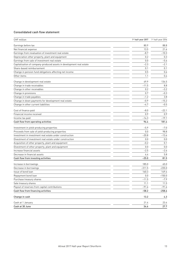### Consolidated cash flow statement

| 80.9<br>Earnings before tax<br>13.5<br>Earnings from revaluation of investment real estate<br>$-8.7$<br>Depreciation other property, plant and equipment<br>0.2<br>Earnings from sale of investment real estate<br>0.0<br>Capitalisation of company-produced assets in development real estate<br>$-2.3$<br>Share-based reimbursement<br>0.1<br>0.5<br>Change in pension fund obligations affecting net income<br>Other items<br>1.1<br>49.9<br>Change in development real estate<br>Change in trade receivables<br>$-11.5$<br>Change in other receivables<br>0.2<br>Change in provisions<br>0.7<br>Change in trade payables<br>$-1.2$<br>Change in down payments for development real estate<br>$-0.9$<br>Change in other current liabilities<br>-4.7<br>Cost of finance paid<br>$-8.0$<br>$-22.1$<br>Financial income received<br>0.9<br>$-14.3$<br>Cash flow from operating activities<br>96.4<br>Investment in yield-producing properties<br>$-5.9$<br>Proceeds from sale of yield-producing properties<br>0.0<br>Investment in investment real estate under construction<br>$-20.8$<br>0.0<br>$-0.2$<br>0.1<br>0.0<br>$-2.5$<br>4.4<br>$-25.0$<br>185.0<br>$-311.5$<br>Decrease in borrowings<br>160.3<br>Issue of bond loan<br>Repayment bond loan<br>0.0<br>Purchase treasury shares<br>$-11.5$<br>Sale treasury shares<br>11.1<br>Payout of reserves from capital contributions<br>$-91.6$<br>Cash flow from financing activities<br>$-58.2$<br>13.2<br>Change in cash<br>21.4<br>Cash at 1 January<br>Cash at 30 June<br>34.6 | CHF million                                             | 1st half-year 2017 | 1st half-year 2016 |
|----------------------------------------------------------------------------------------------------------------------------------------------------------------------------------------------------------------------------------------------------------------------------------------------------------------------------------------------------------------------------------------------------------------------------------------------------------------------------------------------------------------------------------------------------------------------------------------------------------------------------------------------------------------------------------------------------------------------------------------------------------------------------------------------------------------------------------------------------------------------------------------------------------------------------------------------------------------------------------------------------------------------------------------------------------------------------------------------------------------------------------------------------------------------------------------------------------------------------------------------------------------------------------------------------------------------------------------------------------------------------------------------------------------------------------------------------------------------------------------------------------------------------------------|---------------------------------------------------------|--------------------|--------------------|
|                                                                                                                                                                                                                                                                                                                                                                                                                                                                                                                                                                                                                                                                                                                                                                                                                                                                                                                                                                                                                                                                                                                                                                                                                                                                                                                                                                                                                                                                                                                                        |                                                         |                    | 88.8               |
|                                                                                                                                                                                                                                                                                                                                                                                                                                                                                                                                                                                                                                                                                                                                                                                                                                                                                                                                                                                                                                                                                                                                                                                                                                                                                                                                                                                                                                                                                                                                        | Net financial expense                                   |                    | 21.6               |
|                                                                                                                                                                                                                                                                                                                                                                                                                                                                                                                                                                                                                                                                                                                                                                                                                                                                                                                                                                                                                                                                                                                                                                                                                                                                                                                                                                                                                                                                                                                                        |                                                         |                    | $-10.3$            |
|                                                                                                                                                                                                                                                                                                                                                                                                                                                                                                                                                                                                                                                                                                                                                                                                                                                                                                                                                                                                                                                                                                                                                                                                                                                                                                                                                                                                                                                                                                                                        |                                                         |                    | 0.3                |
|                                                                                                                                                                                                                                                                                                                                                                                                                                                                                                                                                                                                                                                                                                                                                                                                                                                                                                                                                                                                                                                                                                                                                                                                                                                                                                                                                                                                                                                                                                                                        |                                                         |                    | $-5.6$             |
|                                                                                                                                                                                                                                                                                                                                                                                                                                                                                                                                                                                                                                                                                                                                                                                                                                                                                                                                                                                                                                                                                                                                                                                                                                                                                                                                                                                                                                                                                                                                        |                                                         |                    | $-2.1$             |
|                                                                                                                                                                                                                                                                                                                                                                                                                                                                                                                                                                                                                                                                                                                                                                                                                                                                                                                                                                                                                                                                                                                                                                                                                                                                                                                                                                                                                                                                                                                                        |                                                         |                    | 0.1                |
|                                                                                                                                                                                                                                                                                                                                                                                                                                                                                                                                                                                                                                                                                                                                                                                                                                                                                                                                                                                                                                                                                                                                                                                                                                                                                                                                                                                                                                                                                                                                        |                                                         |                    | 0.6                |
|                                                                                                                                                                                                                                                                                                                                                                                                                                                                                                                                                                                                                                                                                                                                                                                                                                                                                                                                                                                                                                                                                                                                                                                                                                                                                                                                                                                                                                                                                                                                        |                                                         |                    | 0.4                |
|                                                                                                                                                                                                                                                                                                                                                                                                                                                                                                                                                                                                                                                                                                                                                                                                                                                                                                                                                                                                                                                                                                                                                                                                                                                                                                                                                                                                                                                                                                                                        |                                                         |                    | 134.5              |
|                                                                                                                                                                                                                                                                                                                                                                                                                                                                                                                                                                                                                                                                                                                                                                                                                                                                                                                                                                                                                                                                                                                                                                                                                                                                                                                                                                                                                                                                                                                                        |                                                         |                    | 8.8                |
|                                                                                                                                                                                                                                                                                                                                                                                                                                                                                                                                                                                                                                                                                                                                                                                                                                                                                                                                                                                                                                                                                                                                                                                                                                                                                                                                                                                                                                                                                                                                        |                                                         |                    | $-3.2$             |
|                                                                                                                                                                                                                                                                                                                                                                                                                                                                                                                                                                                                                                                                                                                                                                                                                                                                                                                                                                                                                                                                                                                                                                                                                                                                                                                                                                                                                                                                                                                                        |                                                         |                    | $-0.3$             |
|                                                                                                                                                                                                                                                                                                                                                                                                                                                                                                                                                                                                                                                                                                                                                                                                                                                                                                                                                                                                                                                                                                                                                                                                                                                                                                                                                                                                                                                                                                                                        |                                                         |                    | 3.8                |
|                                                                                                                                                                                                                                                                                                                                                                                                                                                                                                                                                                                                                                                                                                                                                                                                                                                                                                                                                                                                                                                                                                                                                                                                                                                                                                                                                                                                                                                                                                                                        |                                                         |                    | $-15.2$            |
|                                                                                                                                                                                                                                                                                                                                                                                                                                                                                                                                                                                                                                                                                                                                                                                                                                                                                                                                                                                                                                                                                                                                                                                                                                                                                                                                                                                                                                                                                                                                        |                                                         |                    | $-0.5$             |
|                                                                                                                                                                                                                                                                                                                                                                                                                                                                                                                                                                                                                                                                                                                                                                                                                                                                                                                                                                                                                                                                                                                                                                                                                                                                                                                                                                                                                                                                                                                                        |                                                         |                    |                    |
|                                                                                                                                                                                                                                                                                                                                                                                                                                                                                                                                                                                                                                                                                                                                                                                                                                                                                                                                                                                                                                                                                                                                                                                                                                                                                                                                                                                                                                                                                                                                        |                                                         |                    | 0.9                |
|                                                                                                                                                                                                                                                                                                                                                                                                                                                                                                                                                                                                                                                                                                                                                                                                                                                                                                                                                                                                                                                                                                                                                                                                                                                                                                                                                                                                                                                                                                                                        | Income tax paid                                         |                    | $-19.1$            |
|                                                                                                                                                                                                                                                                                                                                                                                                                                                                                                                                                                                                                                                                                                                                                                                                                                                                                                                                                                                                                                                                                                                                                                                                                                                                                                                                                                                                                                                                                                                                        |                                                         |                    | 181.4              |
|                                                                                                                                                                                                                                                                                                                                                                                                                                                                                                                                                                                                                                                                                                                                                                                                                                                                                                                                                                                                                                                                                                                                                                                                                                                                                                                                                                                                                                                                                                                                        |                                                         |                    | $-7.0$             |
|                                                                                                                                                                                                                                                                                                                                                                                                                                                                                                                                                                                                                                                                                                                                                                                                                                                                                                                                                                                                                                                                                                                                                                                                                                                                                                                                                                                                                                                                                                                                        |                                                         |                    | 98.8               |
|                                                                                                                                                                                                                                                                                                                                                                                                                                                                                                                                                                                                                                                                                                                                                                                                                                                                                                                                                                                                                                                                                                                                                                                                                                                                                                                                                                                                                                                                                                                                        |                                                         |                    | $-13.6$            |
|                                                                                                                                                                                                                                                                                                                                                                                                                                                                                                                                                                                                                                                                                                                                                                                                                                                                                                                                                                                                                                                                                                                                                                                                                                                                                                                                                                                                                                                                                                                                        | Divestment of investment real estate under construction |                    | 0.0                |
|                                                                                                                                                                                                                                                                                                                                                                                                                                                                                                                                                                                                                                                                                                                                                                                                                                                                                                                                                                                                                                                                                                                                                                                                                                                                                                                                                                                                                                                                                                                                        | Acquisition of other property, plant and equipment      |                    |                    |
|                                                                                                                                                                                                                                                                                                                                                                                                                                                                                                                                                                                                                                                                                                                                                                                                                                                                                                                                                                                                                                                                                                                                                                                                                                                                                                                                                                                                                                                                                                                                        | Divestment of other property, plant and equipment       |                    | 0.0                |
|                                                                                                                                                                                                                                                                                                                                                                                                                                                                                                                                                                                                                                                                                                                                                                                                                                                                                                                                                                                                                                                                                                                                                                                                                                                                                                                                                                                                                                                                                                                                        | Increase financial assets                               |                    | $-2.6$             |
|                                                                                                                                                                                                                                                                                                                                                                                                                                                                                                                                                                                                                                                                                                                                                                                                                                                                                                                                                                                                                                                                                                                                                                                                                                                                                                                                                                                                                                                                                                                                        | Decrease in financial assets                            |                    | 5.8                |
|                                                                                                                                                                                                                                                                                                                                                                                                                                                                                                                                                                                                                                                                                                                                                                                                                                                                                                                                                                                                                                                                                                                                                                                                                                                                                                                                                                                                                                                                                                                                        | Cash flow from investing activities                     |                    | 81.5               |
|                                                                                                                                                                                                                                                                                                                                                                                                                                                                                                                                                                                                                                                                                                                                                                                                                                                                                                                                                                                                                                                                                                                                                                                                                                                                                                                                                                                                                                                                                                                                        | Increase in borrowings                                  |                    | 65.0               |
|                                                                                                                                                                                                                                                                                                                                                                                                                                                                                                                                                                                                                                                                                                                                                                                                                                                                                                                                                                                                                                                                                                                                                                                                                                                                                                                                                                                                                                                                                                                                        |                                                         |                    | $-235.0$           |
|                                                                                                                                                                                                                                                                                                                                                                                                                                                                                                                                                                                                                                                                                                                                                                                                                                                                                                                                                                                                                                                                                                                                                                                                                                                                                                                                                                                                                                                                                                                                        |                                                         |                    | 149.4              |
|                                                                                                                                                                                                                                                                                                                                                                                                                                                                                                                                                                                                                                                                                                                                                                                                                                                                                                                                                                                                                                                                                                                                                                                                                                                                                                                                                                                                                                                                                                                                        |                                                         |                    | $-150.0$           |
|                                                                                                                                                                                                                                                                                                                                                                                                                                                                                                                                                                                                                                                                                                                                                                                                                                                                                                                                                                                                                                                                                                                                                                                                                                                                                                                                                                                                                                                                                                                                        |                                                         |                    | $-7.9$             |
|                                                                                                                                                                                                                                                                                                                                                                                                                                                                                                                                                                                                                                                                                                                                                                                                                                                                                                                                                                                                                                                                                                                                                                                                                                                                                                                                                                                                                                                                                                                                        |                                                         |                    | 11.5               |
|                                                                                                                                                                                                                                                                                                                                                                                                                                                                                                                                                                                                                                                                                                                                                                                                                                                                                                                                                                                                                                                                                                                                                                                                                                                                                                                                                                                                                                                                                                                                        |                                                         |                    | $-91.6$            |
|                                                                                                                                                                                                                                                                                                                                                                                                                                                                                                                                                                                                                                                                                                                                                                                                                                                                                                                                                                                                                                                                                                                                                                                                                                                                                                                                                                                                                                                                                                                                        |                                                         |                    | $-258.6$           |
|                                                                                                                                                                                                                                                                                                                                                                                                                                                                                                                                                                                                                                                                                                                                                                                                                                                                                                                                                                                                                                                                                                                                                                                                                                                                                                                                                                                                                                                                                                                                        |                                                         |                    | 4.3                |
|                                                                                                                                                                                                                                                                                                                                                                                                                                                                                                                                                                                                                                                                                                                                                                                                                                                                                                                                                                                                                                                                                                                                                                                                                                                                                                                                                                                                                                                                                                                                        |                                                         |                    | 23.4               |
|                                                                                                                                                                                                                                                                                                                                                                                                                                                                                                                                                                                                                                                                                                                                                                                                                                                                                                                                                                                                                                                                                                                                                                                                                                                                                                                                                                                                                                                                                                                                        |                                                         |                    | 27.7               |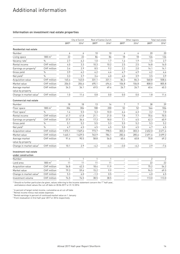# Additional information

### Information on investment real estate properties

|                                              |                    |              | City of Zurich | Rest of Canton Zurich |              | Other regions    |        | Total real estate |                |
|----------------------------------------------|--------------------|--------------|----------------|-----------------------|--------------|------------------|--------|-------------------|----------------|
|                                              |                    | 2017*        | 2016*          | 2017*                 | 2016*        | 2017*            | 2016*  | 2017*             | 2016*          |
| <b>Residential real estate</b>               |                    |              |                |                       |              |                  |        |                   |                |
| Number                                       |                    | 6            | 6              | 10                    | 10           | 4                | 4      | 20                | 20             |
| Living space                                 | $1000 \text{ m}^2$ | 22           | 22             | 86                    | 86           | 18               | 18     | 126               | 126            |
| Vacancy rate <sup>1</sup>                    | $\%$               | 2.7          | 6.2            | 1.0                   | 1.7          | 1.4              | 1.9    | 1.5               | 2.7            |
| Rental income                                | CHF million        | 4.0          | 3.3            | 10.3                  | 10.2         | 2.5              | 2.5    | 16.8              | 16.0           |
| Earnings on property <sup>2</sup>            | CHF million        | 3.4          | 2.9            | 8.5                   | 9.2          | 2.2              | 2.0    | 14.1              | 14.1           |
| Gross yield                                  | $\%$               | 3.9          | 4.2            | 4.2                   | 4.4          | 4.7              | 4.9    | 4.2               | 4.4            |
| Net yield <sup>3</sup>                       | $\%$               | 3.3          | 3.7            | 3.4                   | 4.0          | 4.0              | 3.9    | 3.5               | 3.9            |
| Acquisition value                            | CHF million        | 145.4        | 143.0          | 331.1                 | 331.1        | 84.3             | 84.3   | 560.8             | 558.4          |
| Market value                                 | <b>CHF</b> million | 206.0        | 204.6          | 495.1                 | 494.4        | 106.8            | 106.8  | 808.0             | 805.8          |
| Average market<br>value by property          | CHF million        | 34.3         | 34.1           | 49.5                  | 49.4         | 26.7             | 26.7   | 40.4              | 40.3           |
| Change in market value <sup>4</sup>          | <b>CHF</b> million | 1.0          | 11.4           | 0.8                   | 0.0          | 0.0              | 0.0    | 1.8               | 11.4           |
| <b>Commercial real estate</b>                |                    |              |                |                       |              |                  |        |                   |                |
| Number                                       |                    | 18           | 18             | 13                    | 14           | $\boldsymbol{7}$ | 7      | 38                | 39             |
| Floor space                                  | $1000 \text{ m}^2$ | 304          | 304            | 188                   | 200          | 52               | 52     | 544               | 556            |
| Floor space <sup>1</sup>                     | $\frac{0}{0}$      | 1.4          | 5.5            | 5.3                   | 10.0         | 6.4              | 6.3    | 3.2               | 7.0            |
| Rental income                                | CHF million        | 41.7         | 41.8           | 21.1                  | 21.0         | 7.8              | 7.7    | 70.6              | 70.5           |
| Earnings on property <sup>2</sup>            | <b>CHF</b> million | 37.9         | 36.4           | 17.3                  | 18.0         | 7.1              | 6.5    | 62.3              | 60.9           |
| Gross yield                                  | $\%$               | 5.1          | 5.2            | 5.5                   | 5.3          | 5.5              | 5.2    | 5.3               | 5.2            |
| Net yield <sup>3</sup>                       | $\frac{0}{0}$      | 4.7          | 4.5            | 4.5                   | 4.5          | 5.0              | 4.5    | 4.7               | 4.5            |
| Acquisition value                            | CHF million        | 1575.1       | 1569.6         | 773.7                 | 798.5        | 303.3            | 303.3  | 2652.0            | 2671.4         |
| Market value                                 | CHF million        | 1645.1       | 1629.5         | 763.9                 | 784.1        | 282.6            | 285.6  | 2691.6            | 2699.2         |
| Average market<br>value by property          | <b>CHF</b> million | 91.4         | 90.5           | 58.8                  | 56.0         | 40.4             | 40.8   | 70.8              | 69.2           |
| Change in market value <sup>4</sup>          | CHF million        | 10.1         | 2.9            | $-4.2$                | $-4.3$       | $-3.0$           | $-6.2$ | 2.9               | $-7.6$         |
| Investment real estate<br>under construction |                    |              |                |                       |              |                  |        |                   |                |
| Number                                       |                    | $\mathbf{1}$ | 1              | $\mathbf{1}$          | $\mathbf{1}$ |                  |        | $\overline{2}$    | $\overline{2}$ |
| Land area                                    | $1000 \text{ m}^2$ | 11           | 11             | 11                    | 11           |                  |        | 22                | 22             |
| Acquisition value                            | <b>CHF</b> million | 56.8         | 42.3           | 18.4                  | 11.9         |                  |        | 75.2              | 54.2           |
| Market value                                 | <b>CHF</b> million | 79.3         | 59.6           | 15.2                  | 9.9          |                  |        | 94.5              | 69.5           |
| Change in market value <sup>4</sup>          | <b>CHF</b> million | 5.3          | 6.0            | $-1.3$                | 0.5          |                  |        | 4.0               | 6.5            |
| Investment volume                            | <b>CHF</b> million | 74.5         | 74.5           | 38.5                  | 38.5         |                  |        | 113.0             | 113.0          |
|                                              |                    |              |                |                       |              |                  |        |                   |                |

\* Should no further particulars be given, values referring to the income statement concern the 1<sup>st</sup> half-year, and balance sheet values the cut-off date on 30.06.2017 or 31.12.2016

 $1$  In percent of target rental income, cumulative as at cut-off date

<sup>2</sup> Rental income minus real estate expenses

 $^3$  Rental earnings in percent of continued market value on 1 January

<sup>4</sup> From revaluation in first half-year 2017 or 2016 respectively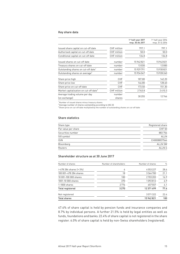### Key share data

|                                                    |                  | 1 <sup>st</sup> half-year 2017<br>resp. 30.06.2017 | 1 <sup>st</sup> half-year 2016<br>resp. 31.12.2016 |
|----------------------------------------------------|------------------|----------------------------------------------------|----------------------------------------------------|
| Issued share capital on cut-off date               | CHF million      | 797.1                                              | 797.1                                              |
| Authorised capital on cut-off date                 | CHF million      | 50.0                                               | 50.0                                               |
| Conditional capital on cut-off date                | CHF million      | 134.8                                              | 134.8                                              |
| Issued shares on cut-off date                      | number           | 15942821                                           | 15942821                                           |
| Treasury shares on cut-off date                    | number           | 13030                                              | 12000                                              |
| Outstanding shares on cut-off date <sup>1</sup>    | number           | 15929791                                           | 15930821                                           |
| Outstanding shares on average <sup>2</sup>         | number           | 15934047                                           | 15928240                                           |
| Share price high                                   | <b>CHF</b>       | 187.80                                             | 142.20                                             |
| Share price low                                    | <b>CHF</b>       | 146.80                                             | 128.40                                             |
| Share price on cut-off date                        | <b>CHF</b>       | 173.50                                             | 151.30                                             |
| Market capitalisation on cut-off date <sup>3</sup> | CHF million      | 2763.8                                             | 2410.3                                             |
| Average trading volume per day<br>(on exchange)    | number<br>shares | 30 255                                             | 12746                                              |

<sup>1</sup> Number of issued shares minus treasury shares

 $2$  Average number of shares outstanding according to IAS 33

<sup>3</sup> Share price on cut-off date multiplied by the number of outstanding shares on cut-off date

### Share statistics

| Share type          | Registered share |
|---------------------|------------------|
| Par value per share | <b>CHF 50</b>    |
| Securities number   | 883 756          |
| SIX symbol          | <b>ALLN</b>      |
| <b>ISIN</b>         | CH0008837566     |
| Bloomberg           | <b>ALLN SW</b>   |
| Reuters             | ALLN.S           |

### Shareholder structure as at 30 June 2017

| Number of shares             | Number of shareholders | Number of shares | $\frac{0}{0}$ |
|------------------------------|------------------------|------------------|---------------|
| $>478$ 284 shares ( $>3\%$ ) | 6                      | 4553227          | 28.6          |
| 100 001-478 284 shares       | 18                     | 3364700          | 21.1          |
| 10 001-100 000 shares        | 100                    | 2703203          | 16.9          |
| 1001-10 000 shares           | 370                    | 1092812          | 6.9           |
| 1-1000 shares                | 2776                   | 657557           | 4.1           |
| Total registered             | 3 2 7 0                | 12371499         | 77.6          |
| Not registered               |                        | 3571322          | 22.4          |
| <b>Total shares</b>          |                        | 15942821         | 100           |

47.4% of share capital is held by pension funds and insurance companies and 8.7% by individual persons. A further 21.5% is held by legal entities as well as funds, foundations and banks. 22.4% of share capital is not registered in the share register. 6.0% of share capital is held by non-Swiss shareholders (registered).